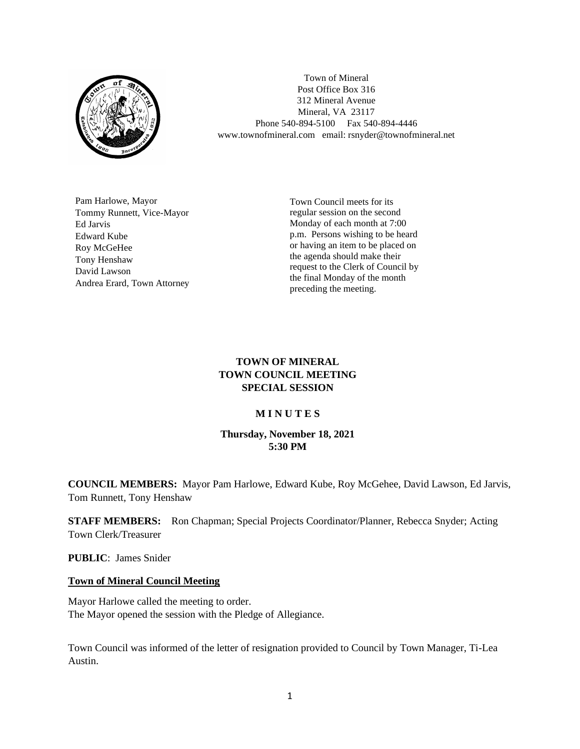

Town of Mineral Post Office Box 316 312 Mineral Avenue Mineral, VA 23117 Phone 540-894-5100 Fax 540-894-4446 www.townofmineral.com email: rsnyder@townofmineral.net

Pam Harlowe, Mayor Tommy Runnett, Vice-Mayor Ed Jarvis Edward Kube Roy McGeHee Tony Henshaw David Lawson Andrea Erard, Town Attorney Town Council meets for its regular session on the second Monday of each month at 7:00 p.m. Persons wishing to be heard or having an item to be placed on the agenda should make their request to the Clerk of Council by the final Monday of the month preceding the meeting.

## **TOWN OF MINERAL TOWN COUNCIL MEETING SPECIAL SESSION**

## **M I N U T E S**

## **Thursday, November 18, 2021 5:30 PM**

**COUNCIL MEMBERS:** Mayor Pam Harlowe, Edward Kube, Roy McGehee, David Lawson, Ed Jarvis, Tom Runnett, Tony Henshaw

**STAFF MEMBERS:** Ron Chapman; Special Projects Coordinator/Planner, Rebecca Snyder; Acting Town Clerk/Treasurer

**PUBLIC**: James Snider

## **Town of Mineral Council Meeting**

Mayor Harlowe called the meeting to order. The Mayor opened the session with the Pledge of Allegiance.

Town Council was informed of the letter of resignation provided to Council by Town Manager, Ti-Lea Austin.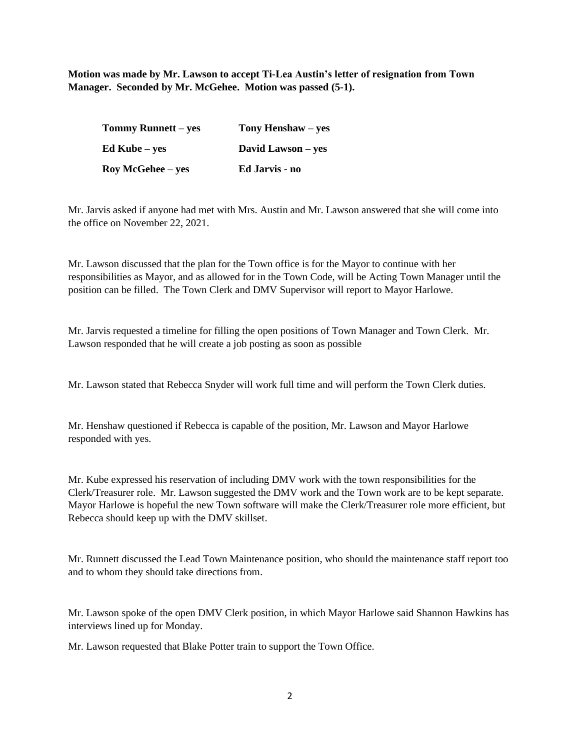**Motion was made by Mr. Lawson to accept Ti-Lea Austin's letter of resignation from Town Manager. Seconded by Mr. McGehee. Motion was passed (5-1).**

| Tommy Runnett – yes      | Tony Henshaw – yes |
|--------------------------|--------------------|
| Ed Kube – yes            | David Lawson – yes |
| <b>Roy McGehee</b> – yes | Ed Jarvis - no     |

Mr. Jarvis asked if anyone had met with Mrs. Austin and Mr. Lawson answered that she will come into the office on November 22, 2021.

Mr. Lawson discussed that the plan for the Town office is for the Mayor to continue with her responsibilities as Mayor, and as allowed for in the Town Code, will be Acting Town Manager until the position can be filled. The Town Clerk and DMV Supervisor will report to Mayor Harlowe.

Mr. Jarvis requested a timeline for filling the open positions of Town Manager and Town Clerk. Mr. Lawson responded that he will create a job posting as soon as possible

Mr. Lawson stated that Rebecca Snyder will work full time and will perform the Town Clerk duties.

Mr. Henshaw questioned if Rebecca is capable of the position, Mr. Lawson and Mayor Harlowe responded with yes.

Mr. Kube expressed his reservation of including DMV work with the town responsibilities for the Clerk/Treasurer role. Mr. Lawson suggested the DMV work and the Town work are to be kept separate. Mayor Harlowe is hopeful the new Town software will make the Clerk/Treasurer role more efficient, but Rebecca should keep up with the DMV skillset.

Mr. Runnett discussed the Lead Town Maintenance position, who should the maintenance staff report too and to whom they should take directions from.

Mr. Lawson spoke of the open DMV Clerk position, in which Mayor Harlowe said Shannon Hawkins has interviews lined up for Monday.

Mr. Lawson requested that Blake Potter train to support the Town Office.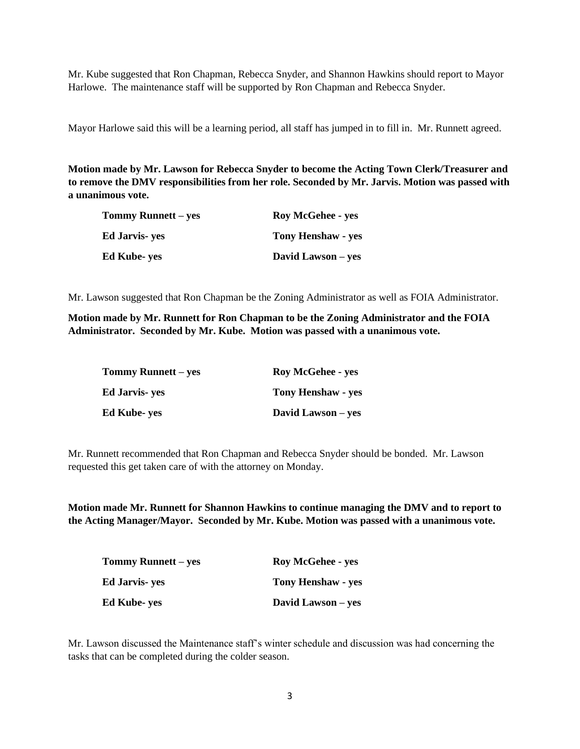Mr. Kube suggested that Ron Chapman, Rebecca Snyder, and Shannon Hawkins should report to Mayor Harlowe. The maintenance staff will be supported by Ron Chapman and Rebecca Snyder.

Mayor Harlowe said this will be a learning period, all staff has jumped in to fill in. Mr. Runnett agreed.

**Motion made by Mr. Lawson for Rebecca Snyder to become the Acting Town Clerk/Treasurer and to remove the DMV responsibilities from her role. Seconded by Mr. Jarvis. Motion was passed with a unanimous vote.**

| Tommy Runnett – yes    | <b>Roy McGehee - yes</b>  |
|------------------------|---------------------------|
| <b>Ed Jarvis</b> - yes | <b>Tony Henshaw - yes</b> |
| <b>Ed Kube- yes</b>    | David Lawson – yes        |

Mr. Lawson suggested that Ron Chapman be the Zoning Administrator as well as FOIA Administrator.

**Motion made by Mr. Runnett for Ron Chapman to be the Zoning Administrator and the FOIA Administrator. Seconded by Mr. Kube. Motion was passed with a unanimous vote.**

| Tommy Runnett – yes | <b>Roy McGehee - yes</b>  |  |
|---------------------|---------------------------|--|
| Ed Jarvis- yes      | <b>Tony Henshaw - yes</b> |  |
| Ed Kube- yes        | David Lawson – yes        |  |

Mr. Runnett recommended that Ron Chapman and Rebecca Snyder should be bonded. Mr. Lawson requested this get taken care of with the attorney on Monday.

**Motion made Mr. Runnett for Shannon Hawkins to continue managing the DMV and to report to the Acting Manager/Mayor. Seconded by Mr. Kube. Motion was passed with a unanimous vote.**

| <b>Tommy Runnett – yes</b> | <b>Roy McGehee - yes</b>  |
|----------------------------|---------------------------|
| Ed Jarvis- yes             | <b>Tony Henshaw - yes</b> |
| Ed Kube- yes               | David Lawson – yes        |

Mr. Lawson discussed the Maintenance staff's winter schedule and discussion was had concerning the tasks that can be completed during the colder season.